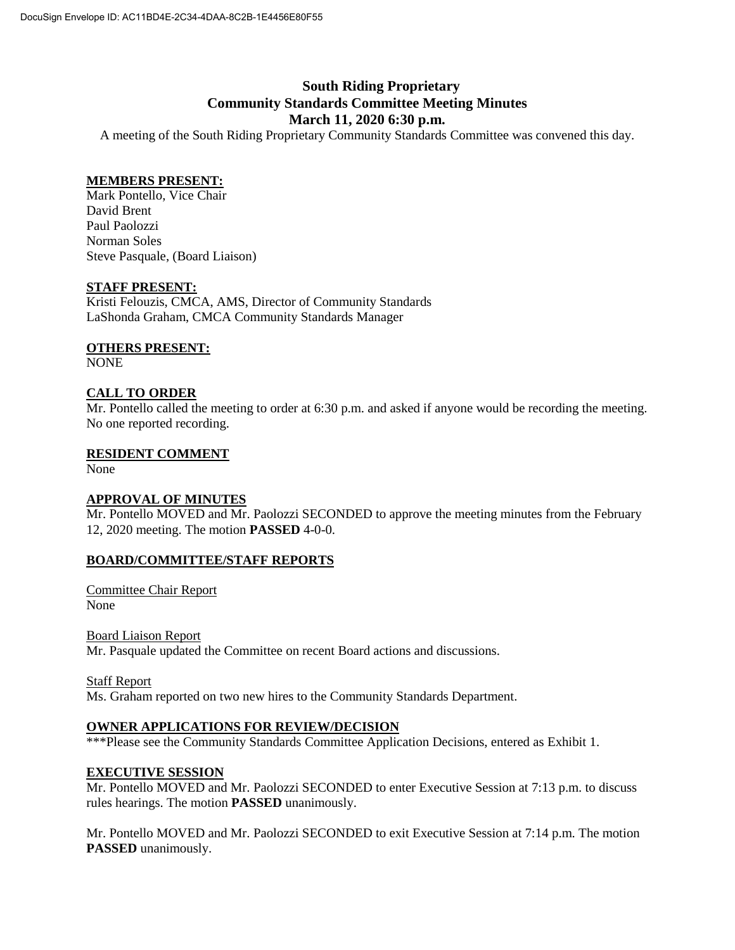# **South Riding Proprietary Community Standards Committee Meeting Minutes March 11, 2020 6:30 p.m.**

A meeting of the South Riding Proprietary Community Standards Committee was convened this day.

## **MEMBERS PRESENT:**

Mark Pontello, Vice Chair David Brent Paul Paolozzi Norman Soles Steve Pasquale, (Board Liaison)

## **STAFF PRESENT:**

Kristi Felouzis, CMCA, AMS, Director of Community Standards LaShonda Graham, CMCA Community Standards Manager

## **OTHERS PRESENT:**

NONE

## **CALL TO ORDER**

Mr. Pontello called the meeting to order at 6:30 p.m. and asked if anyone would be recording the meeting. No one reported recording.

## **RESIDENT COMMENT**

None

## **APPROVAL OF MINUTES**

Mr. Pontello MOVED and Mr. Paolozzi SECONDED to approve the meeting minutes from the February 12, 2020 meeting. The motion **PASSED** 4-0-0.

## **BOARD/COMMITTEE/STAFF REPORTS**

Committee Chair Report None

Board Liaison Report Mr. Pasquale updated the Committee on recent Board actions and discussions.

Staff Report

Ms. Graham reported on two new hires to the Community Standards Department.

#### **OWNER APPLICATIONS FOR REVIEW/DECISION**

\*\*\*Please see the Community Standards Committee Application Decisions, entered as Exhibit 1.

#### **EXECUTIVE SESSION**

Mr. Pontello MOVED and Mr. Paolozzi SECONDED to enter Executive Session at 7:13 p.m. to discuss rules hearings. The motion **PASSED** unanimously.

Mr. Pontello MOVED and Mr. Paolozzi SECONDED to exit Executive Session at 7:14 p.m. The motion **PASSED** unanimously.